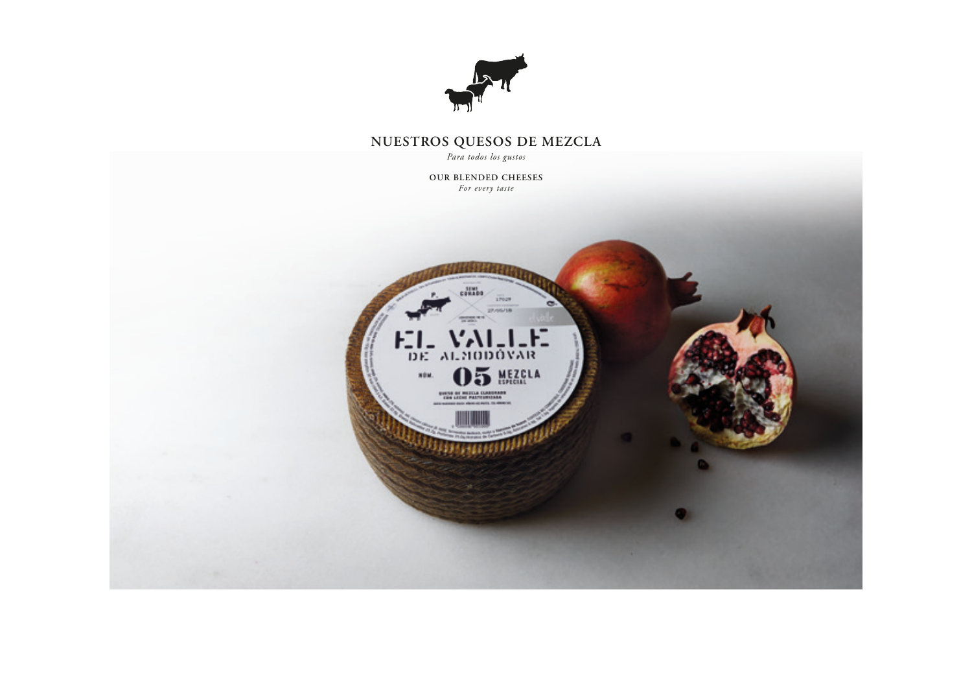

## **NUESTROS QUESOS DE MEZCLA**

*Para todos los gustos*

**OUR BLENDED CHEESES** *For every taste*

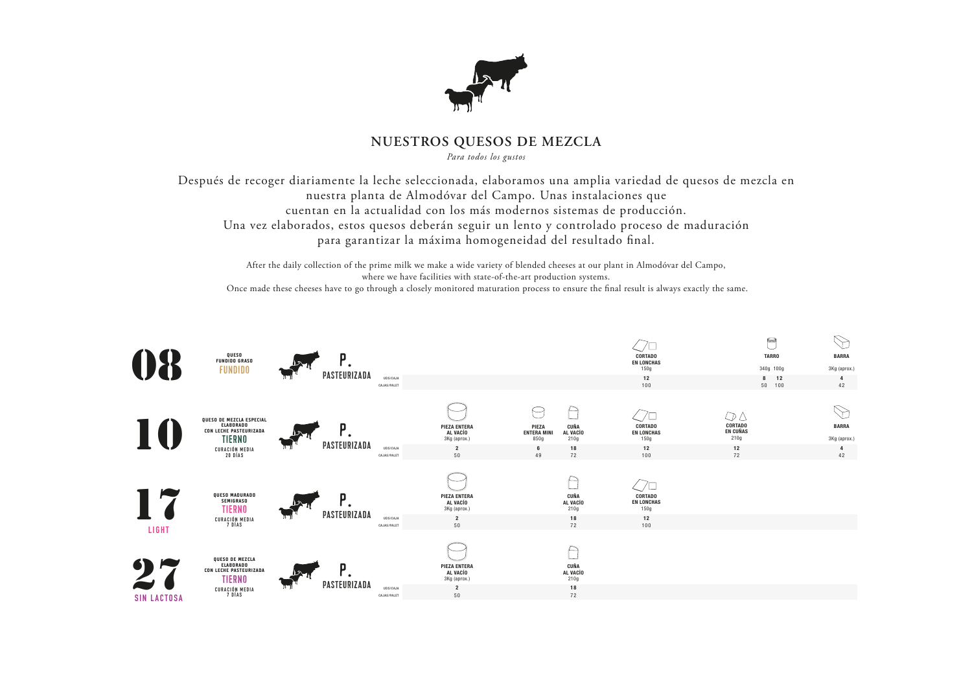

## **NUESTROS QUESOS DE MEZCLA**

*Para todos los gustos*

Después de recoger diariamente la leche seleccionada, elaboramos una amplia variedad de quesos de mezcla en nuestra planta de Almodóvar del Campo. Unas instalaciones que cuentan en la actualidad con los más modernos sistemas de producción. Una vez elaborados, estos quesos deberán seguir un lento y controlado proceso de maduración para garantizar la máxima homogeneidad del resultado final.

After the daily collection of the prime milk we make a wide variety of blended cheeses at our plant in Almodóvar del Campo, where we have facilities with state-of-the-art production systems. Once made these cheeses have to go through a closely monitored maturation process to ensure the final result is always exactly the same.